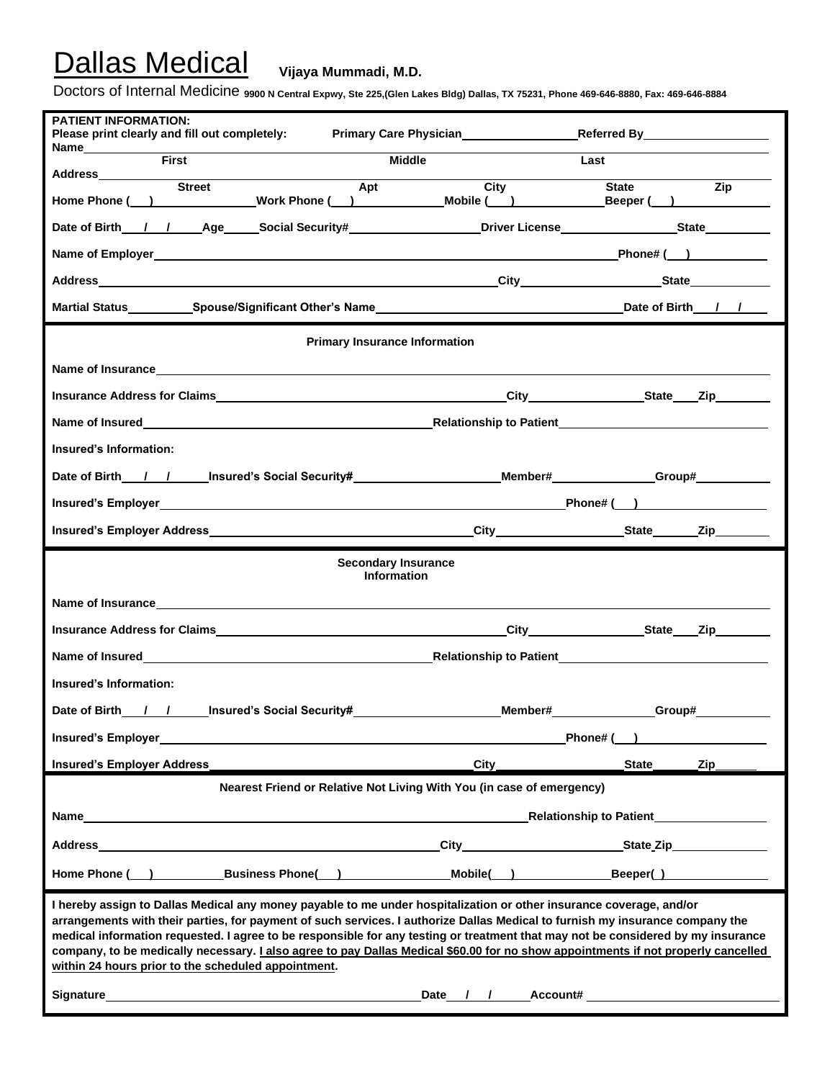Doctors of Internal Medicine **9900 N Central Expwy, Ste 225,(Glen Lakes Bldg) Dallas, TX 75231, Phone 469-646-8880, Fax: 469-646-8884**

| <b>PATIENT INFORMATION:</b><br>Please print clearly and fill out completely:                                                                                                                                                                                                                                                                                                                                                                                                                                                                                                                                                                                                                                                                                                                                                |         |                                                |
|-----------------------------------------------------------------------------------------------------------------------------------------------------------------------------------------------------------------------------------------------------------------------------------------------------------------------------------------------------------------------------------------------------------------------------------------------------------------------------------------------------------------------------------------------------------------------------------------------------------------------------------------------------------------------------------------------------------------------------------------------------------------------------------------------------------------------------|---------|------------------------------------------------|
| Name<br>First<br><b>Middle</b>                                                                                                                                                                                                                                                                                                                                                                                                                                                                                                                                                                                                                                                                                                                                                                                              |         | Last                                           |
| Apt<br>Home Phone ( ) Work Phone ( ) Mobile ( )                                                                                                                                                                                                                                                                                                                                                                                                                                                                                                                                                                                                                                                                                                                                                                             | City    | $\overline{Zip}$<br><b>State</b><br>Beeper ( ) |
|                                                                                                                                                                                                                                                                                                                                                                                                                                                                                                                                                                                                                                                                                                                                                                                                                             |         |                                                |
|                                                                                                                                                                                                                                                                                                                                                                                                                                                                                                                                                                                                                                                                                                                                                                                                                             |         |                                                |
|                                                                                                                                                                                                                                                                                                                                                                                                                                                                                                                                                                                                                                                                                                                                                                                                                             |         |                                                |
|                                                                                                                                                                                                                                                                                                                                                                                                                                                                                                                                                                                                                                                                                                                                                                                                                             |         |                                                |
| <b>Primary Insurance Information</b>                                                                                                                                                                                                                                                                                                                                                                                                                                                                                                                                                                                                                                                                                                                                                                                        |         |                                                |
|                                                                                                                                                                                                                                                                                                                                                                                                                                                                                                                                                                                                                                                                                                                                                                                                                             |         |                                                |
|                                                                                                                                                                                                                                                                                                                                                                                                                                                                                                                                                                                                                                                                                                                                                                                                                             |         |                                                |
|                                                                                                                                                                                                                                                                                                                                                                                                                                                                                                                                                                                                                                                                                                                                                                                                                             |         |                                                |
| Insured's Information:                                                                                                                                                                                                                                                                                                                                                                                                                                                                                                                                                                                                                                                                                                                                                                                                      |         |                                                |
| Date of Birth___/__________Insured's Social Security#______________________Member#_____________Group#_________                                                                                                                                                                                                                                                                                                                                                                                                                                                                                                                                                                                                                                                                                                              |         |                                                |
|                                                                                                                                                                                                                                                                                                                                                                                                                                                                                                                                                                                                                                                                                                                                                                                                                             |         | Phone#( )                                      |
|                                                                                                                                                                                                                                                                                                                                                                                                                                                                                                                                                                                                                                                                                                                                                                                                                             |         |                                                |
| <b>Secondary Insurance</b><br><b>Information</b>                                                                                                                                                                                                                                                                                                                                                                                                                                                                                                                                                                                                                                                                                                                                                                            |         |                                                |
|                                                                                                                                                                                                                                                                                                                                                                                                                                                                                                                                                                                                                                                                                                                                                                                                                             |         |                                                |
|                                                                                                                                                                                                                                                                                                                                                                                                                                                                                                                                                                                                                                                                                                                                                                                                                             |         |                                                |
|                                                                                                                                                                                                                                                                                                                                                                                                                                                                                                                                                                                                                                                                                                                                                                                                                             |         |                                                |
| Insured's Information:                                                                                                                                                                                                                                                                                                                                                                                                                                                                                                                                                                                                                                                                                                                                                                                                      |         |                                                |
| Date of Birth / / _ _ _ _ _ _ Insured's Social Security#___________                                                                                                                                                                                                                                                                                                                                                                                                                                                                                                                                                                                                                                                                                                                                                         | Member# | Group#                                         |
| <b>Insured's Employer</b>                                                                                                                                                                                                                                                                                                                                                                                                                                                                                                                                                                                                                                                                                                                                                                                                   |         | Phone# (                                       |
| <b>Insured's Employer Address</b>                                                                                                                                                                                                                                                                                                                                                                                                                                                                                                                                                                                                                                                                                                                                                                                           | City    | <b>State</b><br>Zip                            |
| Nearest Friend or Relative Not Living With You (in case of emergency)                                                                                                                                                                                                                                                                                                                                                                                                                                                                                                                                                                                                                                                                                                                                                       |         |                                                |
| Name<br><u>a sa barang sa mga barang sa mga barang sa mga barang sa mga barang sa mga barang sa mga barang sa mga barang sa </u>                                                                                                                                                                                                                                                                                                                                                                                                                                                                                                                                                                                                                                                                                            |         | <b>Relationship to Patient</b>                 |
| Address                                                                                                                                                                                                                                                                                                                                                                                                                                                                                                                                                                                                                                                                                                                                                                                                                     |         | City State Zip                                 |
| Home Phone ( ) Business Phone( )                                                                                                                                                                                                                                                                                                                                                                                                                                                                                                                                                                                                                                                                                                                                                                                            |         | Mobile( ) Beeper( )                            |
| I hereby assign to Dallas Medical any money payable to me under hospitalization or other insurance coverage, and/or<br>arrangements with their parties, for payment of such services. I authorize Dallas Medical to furnish my insurance company the<br>medical information requested. I agree to be responsible for any testing or treatment that may not be considered by my insurance<br>company, to be medically necessary. <i>Lalso agree to pay Dallas Medical \$60.00 for no show appointments if not properly cancelled</i><br>within 24 hours prior to the scheduled appointment.<br>Signature and the state of the state of the state of the state of the state of the state of the state of the state of the state of the state of the state of the state of the state of the state of the state of the state of |         | Date / / Account#                              |
|                                                                                                                                                                                                                                                                                                                                                                                                                                                                                                                                                                                                                                                                                                                                                                                                                             |         |                                                |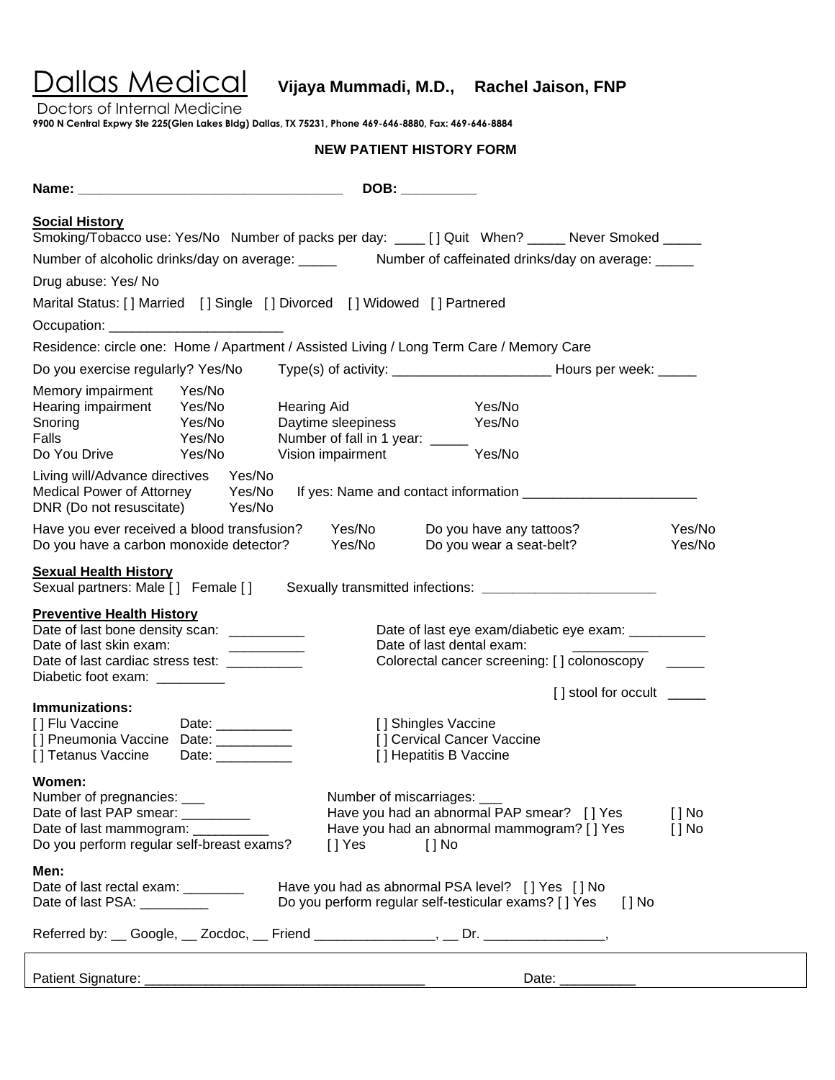Dallas Medical **Vijaya Mummadi, M.D., Rachel Jaison, FNP**

Doctors of Internal Medicine

**9900 N Central Expwy Ste 225(Glen Lakes Bldg) Dallas, TX 75231, Phone 469-646-8880, Fax: 469-646-8884**

### **NEW PATIENT HISTORY FORM**

|                                                                                                                                                                                                                             |                                        |                                                                                                                               | DOB: _________                                                                                           |                     |                      |
|-----------------------------------------------------------------------------------------------------------------------------------------------------------------------------------------------------------------------------|----------------------------------------|-------------------------------------------------------------------------------------------------------------------------------|----------------------------------------------------------------------------------------------------------|---------------------|----------------------|
| <b>Social History</b>                                                                                                                                                                                                       |                                        | Smoking/Tobacco use: Yes/No Number of packs per day: ____ [] Quit When? _____ Never Smoked _____                              |                                                                                                          |                     |                      |
|                                                                                                                                                                                                                             |                                        |                                                                                                                               |                                                                                                          |                     |                      |
|                                                                                                                                                                                                                             |                                        | Number of alcoholic drinks/day on average: ______ Number of caffeinated drinks/day on average: _____                          |                                                                                                          |                     |                      |
| Drug abuse: Yes/ No                                                                                                                                                                                                         |                                        |                                                                                                                               |                                                                                                          |                     |                      |
|                                                                                                                                                                                                                             |                                        | Marital Status: [] Married [] Single [] Divorced [] Widowed [] Partnered                                                      |                                                                                                          |                     |                      |
| Occupation: __________________________                                                                                                                                                                                      |                                        |                                                                                                                               |                                                                                                          |                     |                      |
|                                                                                                                                                                                                                             |                                        | Residence: circle one: Home / Apartment / Assisted Living / Long Term Care / Memory Care                                      |                                                                                                          |                     |                      |
| Do you exercise regularly? Yes/No                                                                                                                                                                                           |                                        |                                                                                                                               |                                                                                                          |                     |                      |
| Memory impairment Yes/No<br>Hearing impairment Yes/No<br>Yes/No<br>Snoring<br>Falls<br>Do You Drive                                                                                                                         | Yes/No<br>Yes/No                       | Hearing Aid <b>Sandale Street Street</b><br>Daytime sleepiness<br>Number of fall in 1 year: _____<br><b>Vision impairment</b> | Yes/No<br>Yes/No<br>Yes/No                                                                               |                     |                      |
| Living will/Advance directives Yes/No<br>Medical Power of Attorney Yes/No<br>DNR (Do not resuscitate) Yes/No                                                                                                                |                                        |                                                                                                                               |                                                                                                          |                     |                      |
| Have you ever received a blood transfusion?<br>Do you have a carbon monoxide detector?                                                                                                                                      |                                        | Yes/No<br>Yes/No                                                                                                              | Do you have any tattoos?<br>Do you wear a seat-belt?                                                     |                     | Yes/No<br>Yes/No     |
|                                                                                                                                                                                                                             |                                        |                                                                                                                               |                                                                                                          |                     |                      |
|                                                                                                                                                                                                                             |                                        | Sexual partners: Male [] Female [] Sexually transmitted infections: ____________________                                      | Date of last eye exam/diabetic eye exam: ___________<br>Date of last dental exam:                        |                     |                      |
| <b>Sexual Health History</b><br><b>Preventive Health History</b><br>Date of last bone density scan: __________<br>Date of last skin exam:<br>Date of last cardiac stress test: __________<br>Diabetic foot exam: __________ |                                        |                                                                                                                               | Colorectal cancer screening: [] colonoscopy                                                              |                     |                      |
| Immunizations:<br>[ ] Flu Vaccine<br>[] Pneumonia Vaccine Date: __________<br>[] Tetanus Vaccine                                                                                                                            | Date: ___________<br>Date: ___________ |                                                                                                                               | [] Shingles Vaccine<br>[] Cervical Cancer Vaccine<br>[] Hepatitis B Vaccine                              | [] stool for occult |                      |
| Women:<br>Number of pregnancies: ___<br>Date of last PAP smear:<br>Date of last mammogram: ________<br>Do you perform regular self-breast exams?                                                                            |                                        | Number of miscarriages:<br>$[]$ Yes                                                                                           | Have you had an abnormal PAP smear? [] Yes<br>Have you had an abnormal mammogram? [ ] Yes<br>$[$ $]$ No  |                     | $[ ]$ No<br>$[ ]$ No |
| Men:<br>Date of last rectal exam: _________<br>Date of last PSA: __________                                                                                                                                                 |                                        |                                                                                                                               | Have you had as abnormal PSA level? [] Yes [] No<br>Do you perform regular self-testicular exams? [] Yes | [ ] No              |                      |

Patient Signature: \_\_\_\_\_\_\_\_\_\_\_\_\_\_\_\_\_\_\_\_\_\_\_\_\_\_\_\_\_\_\_\_\_\_\_\_\_ Date: \_\_\_\_\_\_\_\_\_\_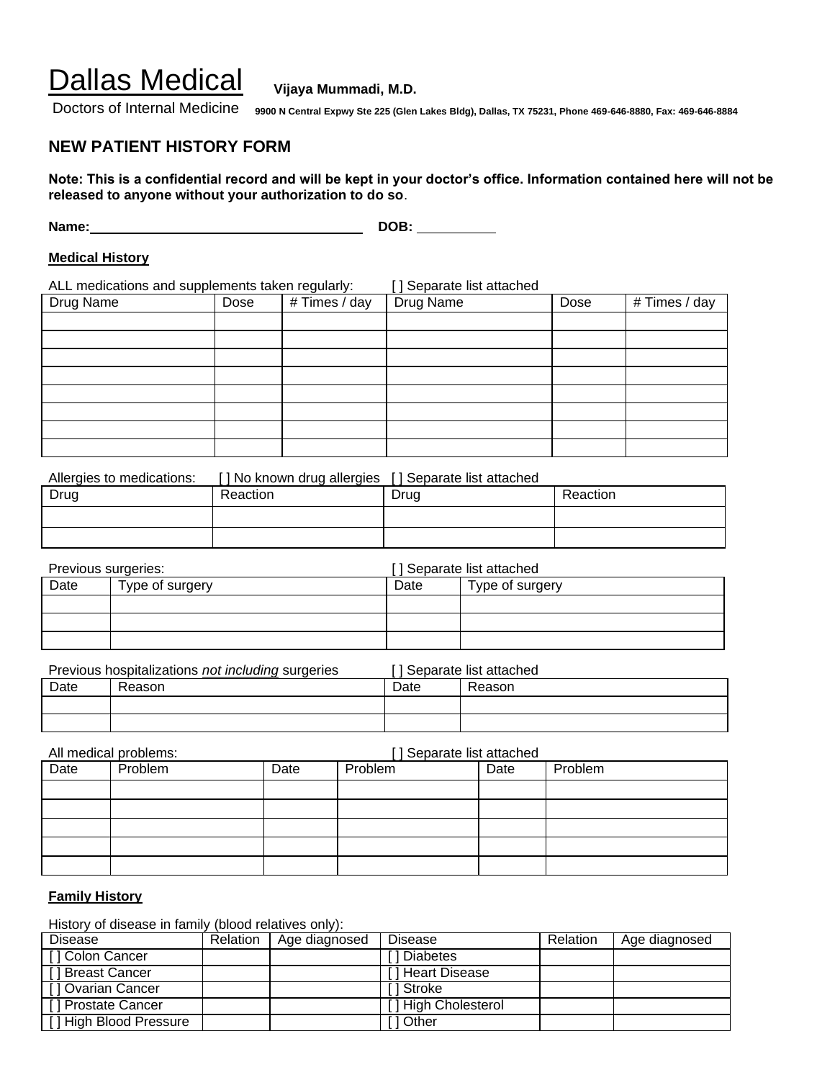Doctors of Internal Medicine **9900 N Central Expwy Ste 225 (Glen Lakes Bldg), Dallas, TX 75231, Phone 469-646-8880, Fax: 469-646-8884**

### **NEW PATIENT HISTORY FORM**

**Note: This is a confidential record and will be kept in your doctor's office. Information contained here will not be released to anyone without your authorization to do so**.

**Name: DOB:** 

#### **Medical History**

ALL medications and supplements taken regularly: [ ] Separate list attached

| Drug Name | Dose | # Times / day | Drug Name | Dose | # Times / day |
|-----------|------|---------------|-----------|------|---------------|
|           |      |               |           |      |               |
|           |      |               |           |      |               |
|           |      |               |           |      |               |
|           |      |               |           |      |               |
|           |      |               |           |      |               |
|           |      |               |           |      |               |
|           |      |               |           |      |               |
|           |      |               |           |      |               |

| Allergies to medications: | [] No known drug allergies | [] Separate list attached |          |
|---------------------------|----------------------------|---------------------------|----------|
| Drug                      | Reaction                   | Drug                      | Reaction |
|                           |                            |                           |          |
|                           |                            |                           |          |

| Previous surgeries: |                 | ] Separate list attached |                 |
|---------------------|-----------------|--------------------------|-----------------|
| Date                | Type of surgery | Date                     | Type of surgery |
|                     |                 |                          |                 |
|                     |                 |                          |                 |
|                     |                 |                          |                 |

|      | Previous hospitalizations not including surgeries |      | [] Separate list attached |
|------|---------------------------------------------------|------|---------------------------|
| Date | Reason                                            | Date | Reason                    |
|      |                                                   |      |                           |
|      |                                                   |      |                           |

|      | All medical problems: |      | [] Separate list attached |      |         |
|------|-----------------------|------|---------------------------|------|---------|
| Date | Problem               | Date | Problem                   | Date | Problem |
|      |                       |      |                           |      |         |
|      |                       |      |                           |      |         |
|      |                       |      |                           |      |         |
|      |                       |      |                           |      |         |
|      |                       |      |                           |      |         |

### **Family History**

History of disease in family (blood relatives only):

| <b>Disease</b>         | Relation | Age diagnosed | <b>Disease</b>      | Relation | Age diagnosed |
|------------------------|----------|---------------|---------------------|----------|---------------|
| [] Colon Cancer        |          |               | 1 Diabetes          |          |               |
| [ ] Breast Cancer      |          |               | [ ] Heart Disease   |          |               |
| [] Ovarian Cancer      |          |               | I I Stroke          |          |               |
| [] Prostate Cancer     |          |               | [] High Cholesterol |          |               |
| [] High Blood Pressure |          |               | 1 Other             |          |               |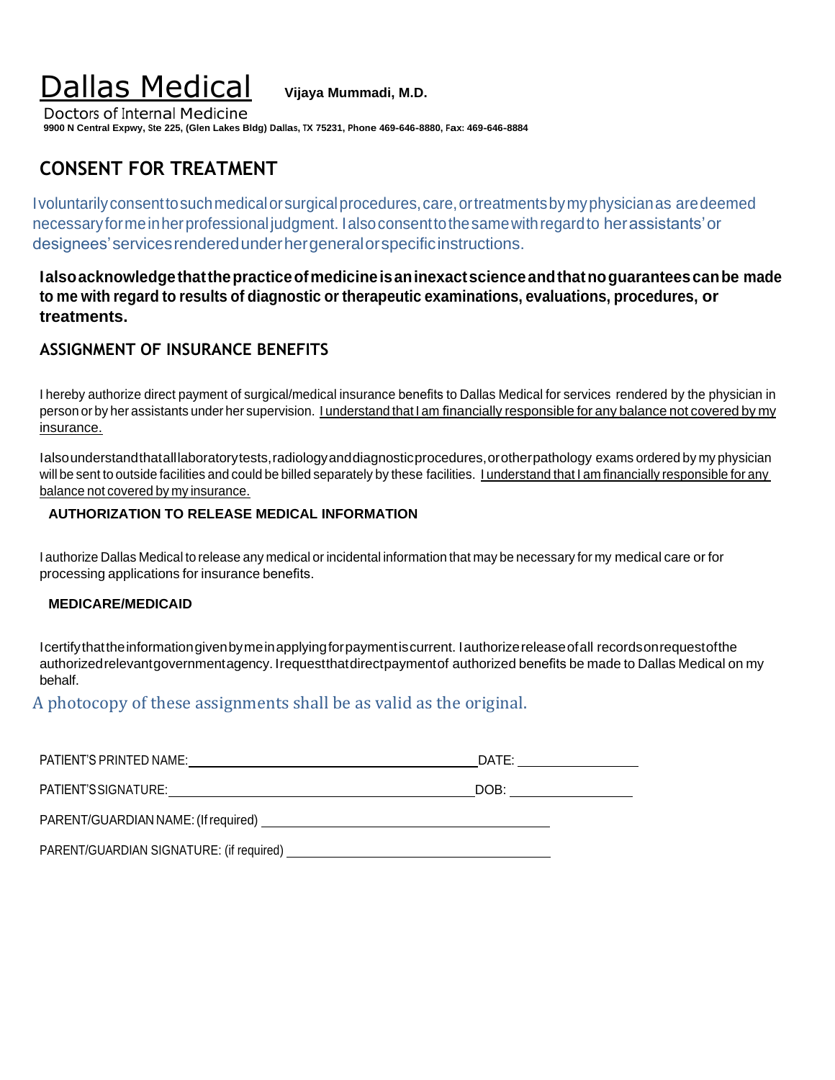Doctors of Internal Medicine **9900 N Central Expwy, Ste 225, (Glen Lakes Bldg) Dallas, TX 75231, Phone 469-646-8880, Fax: 469-646-8884**

## **CONSENT FOR TREATMENT**

Ivoluntarilyconsenttosuchmedicalorsurgicalprocedures,care,ortreatmentsbymyphysicianas aredeemed necessaryformeinherprofessional judgment. Ialsoconsenttothesamewithregardto herassistants'or designees'servicesrenderedunderhergeneralorspecificinstructions.

**Ialsoacknowledgethatthepracticeofmedicineisaninexactscienceandthatnoguaranteescanbe made to me with regard to results of diagnostic or therapeutic examinations, evaluations, procedures, or treatments.**

### **ASSIGNMENT OF INSURANCE BENEFITS**

I hereby authorize direct payment of surgical/medical insurance benefits to Dallas Medical for services rendered by the physician in person or by her assistants under her supervision. I understand that I am financially responsible for any balance not covered by my insurance.

Ialsounderstandthatalllaboratorytests,radiologyanddiagnosticprocedures,orotherpathology exams ordered by my physician will be sent to outside facilities and could be billed separately by these facilities. I understand that I am financially responsible for any balance not covered by my insurance.

### **AUTHORIZATION TO RELEASE MEDICAL INFORMATION**

I authorize Dallas Medical to release any medical or incidental information that may be necessary for my medical care or for processing applications for insurance benefits.

### **MEDICARE/MEDICAID**

Icertifythattheinformationgivenbymeinapplyingforpaymentiscurrent. Iauthorizereleaseofall recordsonrequestofthe authorizedrelevantgovernmentagency. Irequestthatdirectpaymentof authorized benefits be made to Dallas Medical on my behalf.

A photocopy of these assignments shall be as valid as the original.

| PATIENT'S PRINTED NAME:                  | DATE: |
|------------------------------------------|-------|
| PATIENT'S SIGNATURE:                     | DOB:  |
| PARENT/GUARDIAN NAME: (If required)      |       |
| PARENT/GUARDIAN SIGNATURE: (if required) |       |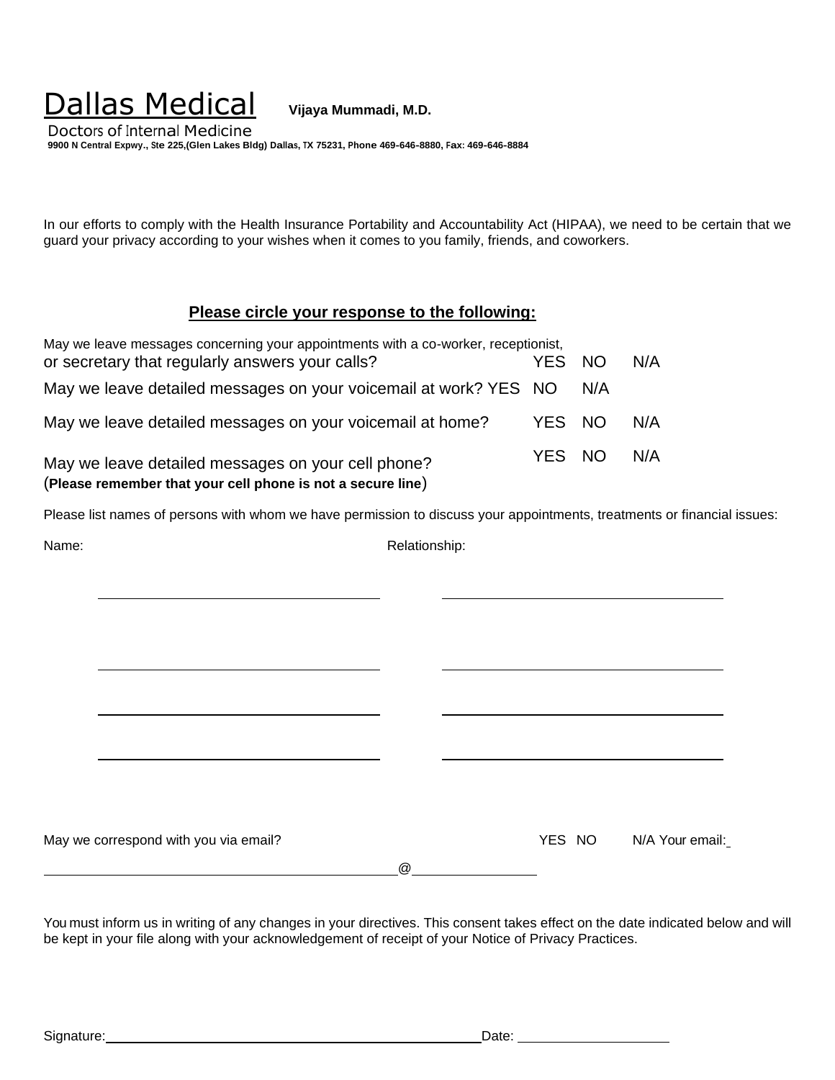Doctors of Internal Medicine **9900 N Central Expwy., Ste 225,(Glen Lakes Bldg) Dallas, TX 75231, Phone 469-646-8880, Fax: 469-646-8884**

In our efforts to comply with the Health Insurance Portability and Accountability Act (HIPAA), we need to be certain that we guard your privacy according to your wishes when it comes to you family, friends, and coworkers.

### **Please circle your response to the following:**

| May we leave messages concerning your appointments with a co-worker, receptionist,                                |        |     |     |
|-------------------------------------------------------------------------------------------------------------------|--------|-----|-----|
| or secretary that regularly answers your calls?                                                                   | YES NO |     | N/A |
| May we leave detailed messages on your voicemail at work? YES NO                                                  |        | N/A |     |
| May we leave detailed messages on your voicemail at home?                                                         | YES NO |     | N/A |
| May we leave detailed messages on your cell phone?<br>(Please remember that your cell phone is not a secure line) | YES NO |     | N/A |

Please list names of persons with whom we have permission to discuss your appointments, treatments or financial issues:

Name: Relationship: Relationship:

May we correspond with you via email? May we correspond with you via email:

@

You must inform us in writing of any changes in your directives. This consent takes effect on the date indicated below and will be kept in your file along with your acknowledgement of receipt of your Notice of Privacy Practices.